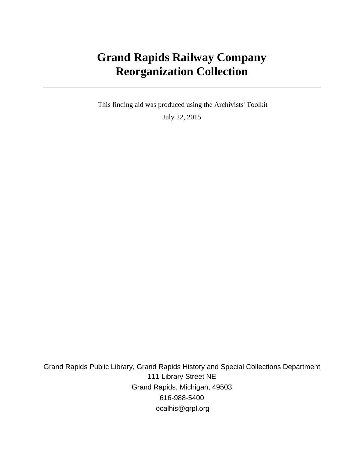# **Grand Rapids Railway Company Reorganization Collection**

 This finding aid was produced using the Archivists' Toolkit July 22, 2015

Grand Rapids Public Library, Grand Rapids History and Special Collections Department 111 Library Street NE Grand Rapids, Michigan, 49503 616-988-5400 localhis@grpl.org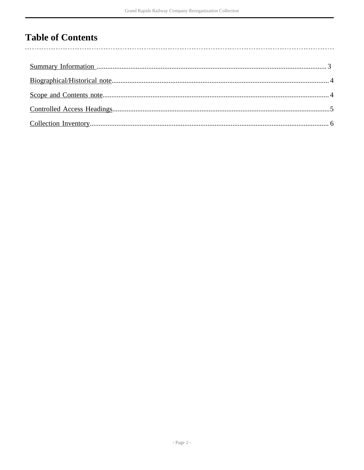## **Table of Contents**

l,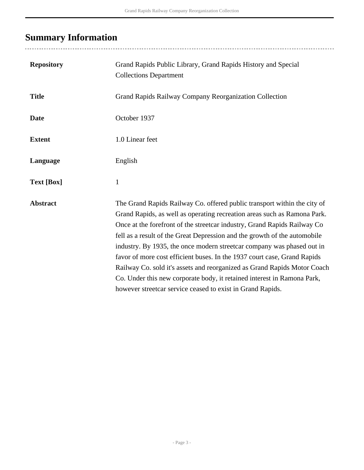## <span id="page-2-0"></span>**Summary Information**

| <b>Repository</b> | Grand Rapids Public Library, Grand Rapids History and Special<br><b>Collections Department</b>                                                                                                                                                                                                                                                                                                                                                                                                                                                                                                                                                                                           |
|-------------------|------------------------------------------------------------------------------------------------------------------------------------------------------------------------------------------------------------------------------------------------------------------------------------------------------------------------------------------------------------------------------------------------------------------------------------------------------------------------------------------------------------------------------------------------------------------------------------------------------------------------------------------------------------------------------------------|
| <b>Title</b>      | Grand Rapids Railway Company Reorganization Collection                                                                                                                                                                                                                                                                                                                                                                                                                                                                                                                                                                                                                                   |
| <b>Date</b>       | October 1937                                                                                                                                                                                                                                                                                                                                                                                                                                                                                                                                                                                                                                                                             |
| <b>Extent</b>     | 1.0 Linear feet                                                                                                                                                                                                                                                                                                                                                                                                                                                                                                                                                                                                                                                                          |
| Language          | English                                                                                                                                                                                                                                                                                                                                                                                                                                                                                                                                                                                                                                                                                  |
| <b>Text</b> [Box] | 1                                                                                                                                                                                                                                                                                                                                                                                                                                                                                                                                                                                                                                                                                        |
| <b>Abstract</b>   | The Grand Rapids Railway Co. offered public transport within the city of<br>Grand Rapids, as well as operating recreation areas such as Ramona Park.<br>Once at the forefront of the streetcar industry, Grand Rapids Railway Co<br>fell as a result of the Great Depression and the growth of the automobile<br>industry. By 1935, the once modern streetcar company was phased out in<br>favor of more cost efficient buses. In the 1937 court case, Grand Rapids<br>Railway Co. sold it's assets and reorganized as Grand Rapids Motor Coach<br>Co. Under this new corporate body, it retained interest in Ramona Park,<br>however streetcar service ceased to exist in Grand Rapids. |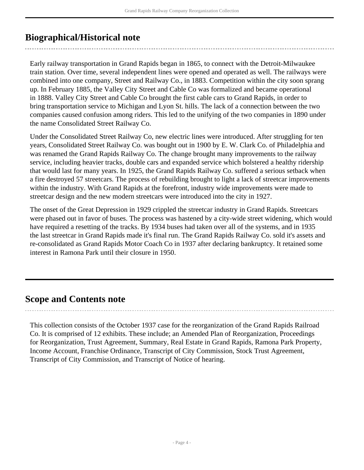## <span id="page-3-0"></span>**Biographical/Historical note**

Early railway transportation in Grand Rapids began in 1865, to connect with the Detroit-Milwaukee train station. Over time, several independent lines were opened and operated as well. The railways were combined into one company, Street and Railway Co., in 1883. Competition within the city soon sprang up. In February 1885, the Valley City Street and Cable Co was formalized and became operational in 1888. Valley City Street and Cable Co brought the first cable cars to Grand Rapids, in order to bring transportation service to Michigan and Lyon St. hills. The lack of a connection between the two companies caused confusion among riders. This led to the unifying of the two companies in 1890 under the name Consolidated Street Railway Co.

Under the Consolidated Street Railway Co, new electric lines were introduced. After struggling for ten years, Consolidated Street Railway Co. was bought out in 1900 by E. W. Clark Co. of Philadelphia and was renamed the Grand Rapids Railway Co. The change brought many improvements to the railway service, including heavier tracks, double cars and expanded service which bolstered a healthy ridership that would last for many years. In 1925, the Grand Rapids Railway Co. suffered a serious setback when a fire destroyed 57 streetcars. The process of rebuilding brought to light a lack of streetcar improvements within the industry. With Grand Rapids at the forefront, industry wide improvements were made to streetcar design and the new modern streetcars were introduced into the city in 1927.

The onset of the Great Depression in 1929 crippled the streetcar industry in Grand Rapids. Streetcars were phased out in favor of buses. The process was hastened by a city-wide street widening, which would have required a resetting of the tracks. By 1934 buses had taken over all of the systems, and in 1935 the last streetcar in Grand Rapids made it's final run. The Grand Rapids Railway Co. sold it's assets and re-consolidated as Grand Rapids Motor Coach Co in 1937 after declaring bankruptcy. It retained some interest in Ramona Park until their closure in 1950.

### <span id="page-3-1"></span>**Scope and Contents note**

This collection consists of the October 1937 case for the reorganization of the Grand Rapids Railroad Co. It is comprised of 12 exhibits. These include; an Amended Plan of Reorganization, Proceedings for Reorganization, Trust Agreement, Summary, Real Estate in Grand Rapids, Ramona Park Property, Income Account, Franchise Ordinance, Transcript of City Commission, Stock Trust Agreement, Transcript of City Commission, and Transcript of Notice of hearing.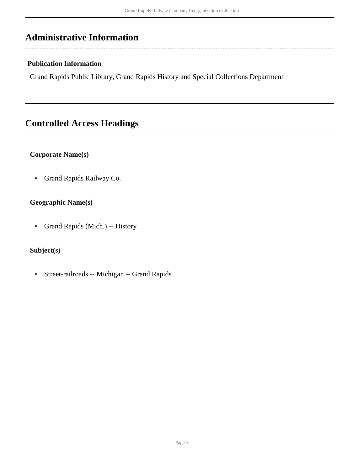### **Administrative Information**

### **Publication Information**

Grand Rapids Public Library, Grand Rapids History and Special Collections Department

## <span id="page-4-0"></span>**Controlled Access Headings**

### **Corporate Name(s)**

• Grand Rapids Railway Co.

#### **Geographic Name(s)**

• Grand Rapids (Mich.) -- History

### **Subject(s)**

• Street-railroads -- Michigan -- Grand Rapids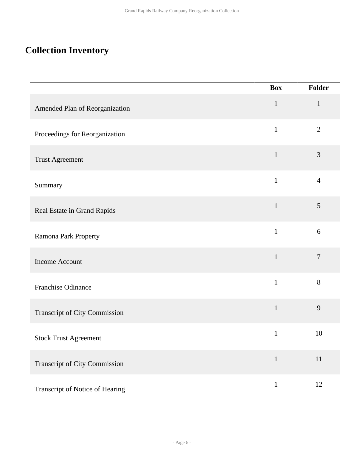## <span id="page-5-0"></span>**Collection Inventory**

|                                 | <b>Box</b>   | Folder         |
|---------------------------------|--------------|----------------|
| Amended Plan of Reorganization  | $\mathbf{1}$ | $\mathbf{1}$   |
| Proceedings for Reorganization  | $\mathbf{1}$ | $\overline{2}$ |
| <b>Trust Agreement</b>          | $\mathbf{1}$ | $\mathfrak{Z}$ |
| Summary                         | $\mathbf{1}$ | $\overline{4}$ |
| Real Estate in Grand Rapids     | $\mathbf{1}$ | $\mathfrak{S}$ |
| Ramona Park Property            | $\mathbf{1}$ | $\sqrt{6}$     |
| Income Account                  | $\mathbf{1}$ | $\tau$         |
| Franchise Odinance              | $\mathbf{1}$ | 8              |
| Transcript of City Commission   | $\mathbf 1$  | 9              |
| <b>Stock Trust Agreement</b>    | $\mathbf{1}$ | 10             |
| Transcript of City Commission   | $\mathbf{1}$ | 11             |
| Transcript of Notice of Hearing | $\mathbf{1}$ | 12             |